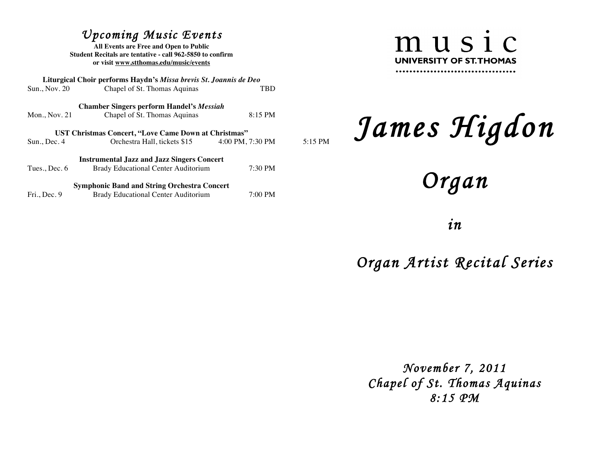## *Upcoming Music Events*

**All Events are Free and Open to Public Student Recitals are tentative - call 962-5850 to confirm or visit www.stthomas.edu/music/events**

|                 | Liturgical Choir performs Haydn's Missa brevis St. Joannis de Deo |                  |         |
|-----------------|-------------------------------------------------------------------|------------------|---------|
| Sun., Nov. 20   | Chapel of St. Thomas Aquinas                                      | TBD              |         |
|                 | <b>Chamber Singers perform Handel's Messiah</b>                   |                  |         |
| Mon., Nov. $21$ | Chapel of St. Thomas Aquinas                                      | 8:15 PM          |         |
|                 | UST Christmas Concert, "Love Came Down at Christmas"              |                  |         |
| Sun., Dec.4     | Orchestra Hall, tickets \$15                                      | 4:00 PM, 7:30 PM | 5:15 PM |
|                 | <b>Instrumental Jazz and Jazz Singers Concert</b>                 |                  |         |
| Tues., Dec. $6$ | Brady Educational Center Auditorium                               | 7:30 PM          |         |
|                 | <b>Symphonic Band and String Orchestra Concert</b>                |                  |         |
| Fri., Dec. 9    | <b>Brady Educational Center Auditorium</b>                        | 7:00 PM          |         |

music UNIVERSITY OF ST. THOMAS 

## *James Higdon*

*Organ* 

*in* 

*Organ Artist Recital Series* 

*November 7, 2011 Chapel of St. Thomas Aquinas 8:15 PM*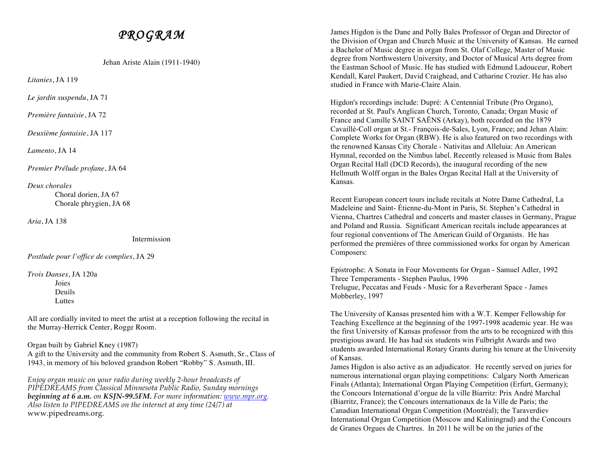## *PROGRAM*

Jehan Ariste Alain (1911-1940)

*Litanies*, JA 119

*Le jardin suspendu*, JA 71

*Première fantaisie*, JA 72

*Deuxième fantaisie*, JA 117

*Lamento*, JA 14

*Premier Prélude profane*, JA 64

*Deux chorales*

Choral dorien, JA 67 Chorale phrygien, JA 68

*Aria*, JA 138

Intermission

*Postlude pour l'office de complies*, JA 29

*Trois Danses*, JA 120a Joies Deuils **Luttes** 

All are cordially invited to meet the artist at a reception following the recital in the Murray-Herrick Center, Rogge Room.

Organ built by Gabriel Kney (1987)

A gift to the University and the community from Robert S. Asmuth, Sr., Class of 1943, in memory of his beloved grandson Robert "Robby" S. Asmuth, III.

*Enjoy organ music on your radio during weekly 2-hour broadcasts of PIPEDREAMS from Classical Minnesota Public Radio, Sunday mornings beginning at 6 a.m. on KSJN-99.5FM. For more information: www.mpr.org. Also listen to PIPEDREAMS on the internet at any time (24/7) at*  www.pipedreams.org.

James Higdon is the Dane and Polly Bales Professor of Organ and Director of the Division of Organ and Church Music at the University of Kansas. He earned a Bachelor of Music degree in organ from St. Olaf College, Master of Music degree from Northwestern University, and Doctor of Musical Arts degree from the Eastman School of Music. He has studied with Edmund Ladouceur, Robert Kendall, Karel Paukert, David Craighead, and Catharine Crozier. He has also studied in France with Marie-Claire Alain.

Higdon's recordings include: Dupré: A Centennial Tribute (Pro Organo), recorded at St. Paul's Anglican Church, Toronto, Canada; Organ Music of France and Camille SAINT SAËNS (Arkay), both recorded on the 1879 Cavaillé-Coll organ at St.- François-de-Sales, Lyon, France; and Jehan Alain: Complete Works for Organ (RBW). He is also featured on two recordings with the renowned Kansas City Chorale - Nativitas and Alleluia: An American Hymnal, recorded on the Nimbus label. Recently released is Music from Bales Organ Recital Hall (DCD Records), the inaugural recording of the new Hellmuth Wolff organ in the Bales Organ Recital Hall at the University of Kansas.

Recent European concert tours include recitals at Notre Dame Cathedral, La Madeleine and Saint- Étienne-du-Mont in Paris, St. Stephen's Cathedral in Vienna, Chartres Cathedral and concerts and master classes in Germany, Prague and Poland and Russia. Significant American recitals include appearances at four regional conventions of The American Guild of Organists. He has performed the premières of three commissioned works for organ by American Composers:

Epistrophe: A Sonata in Four Movements for Organ - Samuel Adler, 1992 Three Temperaments - Stephen Paulus, 1996 Trelugue, Peccatas and Feuds - Music for a Reverberant Space - James Mobberley, 1997

The University of Kansas presented him with a W.T. Kemper Fellowship for Teaching Excellence at the beginning of the 1997-1998 academic year. He was the first University of Kansas professor from the arts to be recognized with this prestigious award. He has had six students win Fulbright Awards and two students awarded International Rotary Grants during his tenure at the University of Kansas.

James Higdon is also active as an adjudicator. He recently served on juries for numerous international organ playing competitions: Calgary North American Finals (Atlanta); International Organ Playing Competition (Erfurt, Germany); the Concours International d'orgue de la ville Biarritz: Prix André Marchal (Biarritz, France); the Concours internationaux de la Ville de Paris; the Canadian International Organ Competition (Montréal); the Taraverdiev International Organ Competition (Moscow and Kaliningrad) and the Concours de Granes Orgues de Chartres. In 2011 he will be on the juries of the